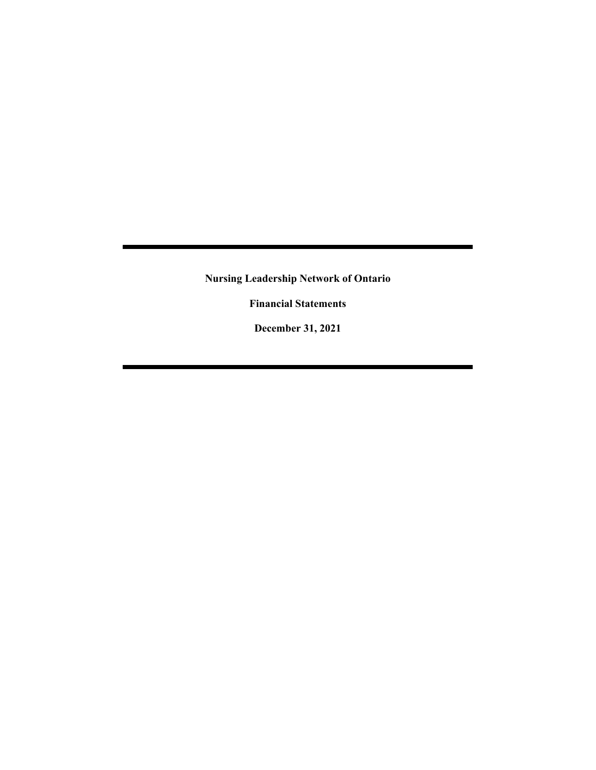**Financial Statements**

**December 31, 2021**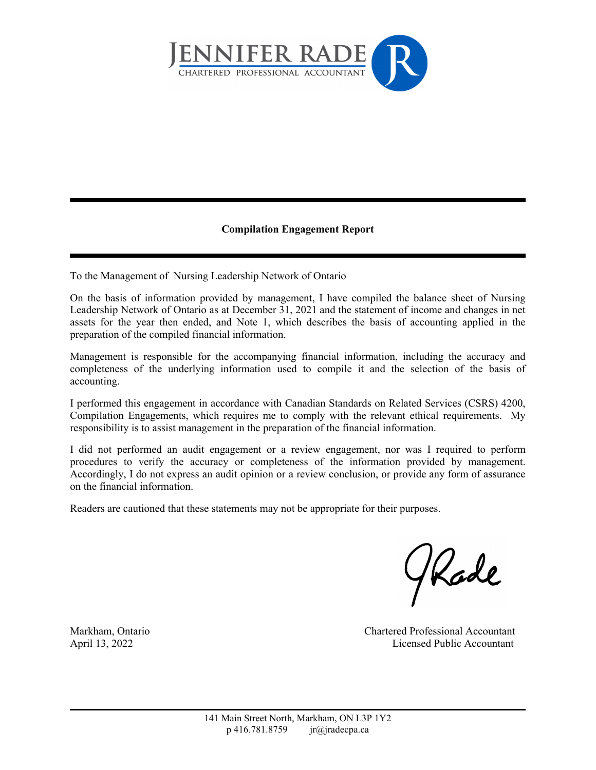

### **Compilation Engagement Report**

To the Management of Nursing Leadership Network of Ontario

On the basis of information provided by management, I have compiled the balance sheet of Nursing Leadership Network of Ontario as at December 31, 2021 and the statement of income and changes in net assets for the year then ended, and Note 1, which describes the basis of accounting applied in the preparation of the compiled financial information.

Management is responsible for the accompanying financial information, including the accuracy and completeness of the underlying information used to compile it and the selection of the basis of accounting.

I performed this engagement in accordance with Canadian Standards on Related Services (CSRS) 4200, Compilation Engagements, which requires me to comply with the relevant ethical requirements. My responsibility is to assist management in the preparation of the financial information.

I did not performed an audit engagement or a review engagement, nor was I required to perform procedures to verify the accuracy or completeness of the information provided by management. Accordingly, I do not express an audit opinion or a review conclusion, or provide any form of assurance on the financial information.

Readers are cautioned that these statements may not be appropriate for their purposes.

Kade

Markham, Ontario Chartered Professional Accountant April 13, 2022 Licensed Public Accountant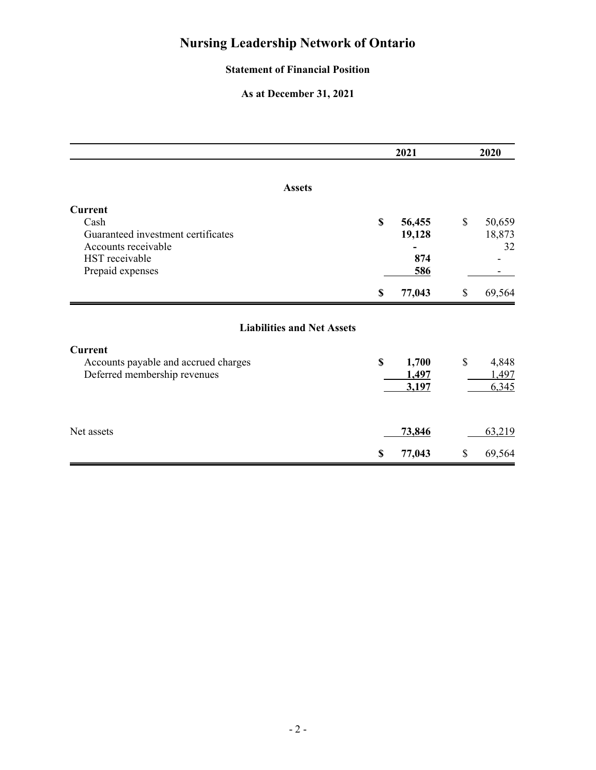### **Statement of Financial Position**

### **As at December 31, 2021**

|                                                                                                                           | 2021<br>2020                         |    |                         |
|---------------------------------------------------------------------------------------------------------------------------|--------------------------------------|----|-------------------------|
| <b>Assets</b>                                                                                                             |                                      |    |                         |
| <b>Current</b><br>Cash<br>Guaranteed investment certificates<br>Accounts receivable<br>HST receivable<br>Prepaid expenses | \$<br>56,455<br>19,128<br>874<br>586 | \$ | 50,659<br>18,873<br>32  |
|                                                                                                                           | \$<br>77,043                         | \$ | 69,564                  |
| <b>Liabilities and Net Assets</b>                                                                                         |                                      |    |                         |
| <b>Current</b><br>Accounts payable and accrued charges<br>Deferred membership revenues                                    | \$<br>1,700<br>1,497<br>3,197        | \$ | 4,848<br>1,497<br>6,345 |
| Net assets                                                                                                                | 73,846                               |    | 63,219                  |
|                                                                                                                           | \$<br>77,043                         | \$ | 69,564                  |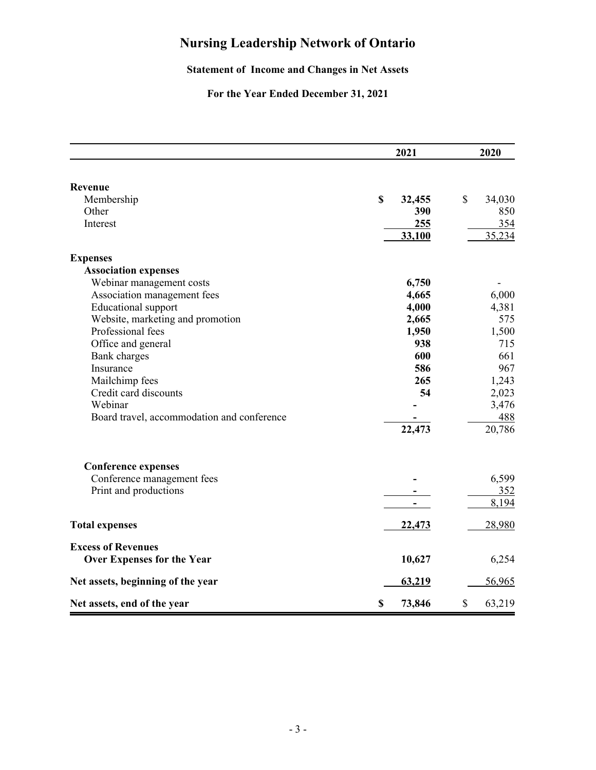### **Statement of Income and Changes in Net Assets**

## **For the Year Ended December 31, 2021**

|                                            | 2021         | 2020         |  |
|--------------------------------------------|--------------|--------------|--|
| Revenue                                    |              |              |  |
| Membership                                 | \$<br>32,455 | \$<br>34,030 |  |
| Other                                      | 390          | 850          |  |
| Interest                                   | 255          | 354          |  |
|                                            | 33,100       | 35,234       |  |
| <b>Expenses</b>                            |              |              |  |
| <b>Association expenses</b>                |              |              |  |
| Webinar management costs                   | 6,750        |              |  |
| Association management fees                | 4,665        | 6,000        |  |
| <b>Educational</b> support                 | 4,000        | 4,381        |  |
| Website, marketing and promotion           | 2,665        | 575          |  |
| Professional fees                          | 1,950        | 1,500        |  |
| Office and general                         | 938          | 715          |  |
| <b>Bank</b> charges                        | 600          | 661          |  |
| Insurance                                  | 586          | 967          |  |
| Mailchimp fees                             | 265          | 1,243        |  |
| Credit card discounts                      | 54           | 2,023        |  |
| Webinar                                    |              | 3,476        |  |
| Board travel, accommodation and conference |              | 488          |  |
|                                            | 22,473       | 20,786       |  |
| <b>Conference expenses</b>                 |              |              |  |
| Conference management fees                 |              | 6,599        |  |
| Print and productions                      |              | <u>352</u>   |  |
|                                            |              | 8,194        |  |
| <b>Total expenses</b>                      | 22,473       | 28,980       |  |
| <b>Excess of Revenues</b>                  |              |              |  |
| <b>Over Expenses for the Year</b>          | 10,627       | 6,254        |  |
| Net assets, beginning of the year          | 63,219       | 56,965       |  |
| Net assets, end of the year                | \$<br>73,846 | \$<br>63,219 |  |